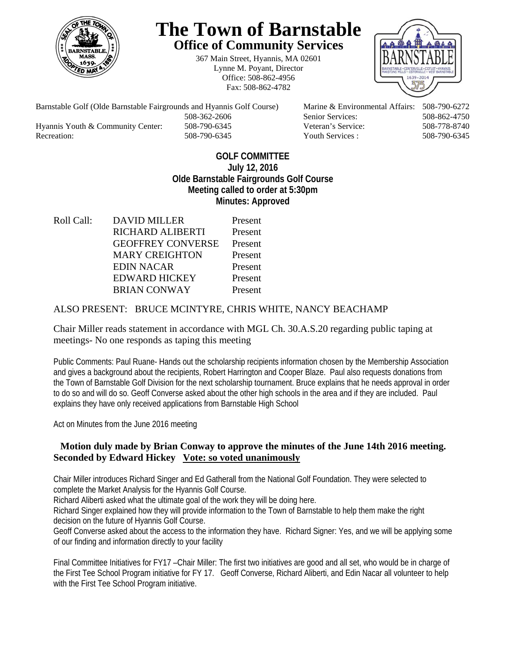

# **The Town of Barnstable Office of Community Services**

367 Main Street, Hyannis, MA 02601 Lynne M. Poyant, Director Office: 508-862-4956 Fax: 508-862-4782



Hyannis Youth & Community Center: 508-790-6345 Veteran's Service: 508-778-8740

Barnstable Golf (Olde Barnstable Fairgrounds and Hyannis Golf Course) Marine & Environmental Affairs: 508-790-6272 508-362-2606 Senior Services: 508-862-4750 Recreation: 508-790-6345 Youth Services : 508-790-6345 S08-790-6345

## **GOLF COMMITTEE July 12, 2016 Olde Barnstable Fairgrounds Golf Course Meeting called to order at 5:30pm Minutes: Approved**

Roll Call: DAVID MILLER Present RICHARD ALIBERTI Present GEOFFREY CONVERSE Present MARY CREIGHTON Present EDIN NACAR Present EDWARD HICKEY Present BRIAN CONWAY Present

## ALSO PRESENT: BRUCE MCINTYRE, CHRIS WHITE, NANCY BEACHAMP

Chair Miller reads statement in accordance with MGL Ch. 30.A.S.20 regarding public taping at meetings- No one responds as taping this meeting

Public Comments: Paul Ruane- Hands out the scholarship recipients information chosen by the Membership Association and gives a background about the recipients, Robert Harrington and Cooper Blaze. Paul also requests donations from the Town of Barnstable Golf Division for the next scholarship tournament. Bruce explains that he needs approval in order to do so and will do so. Geoff Converse asked about the other high schools in the area and if they are included. Paul explains they have only received applications from Barnstable High School

Act on Minutes from the June 2016 meeting

## **Motion duly made by Brian Conway to approve the minutes of the June 14th 2016 meeting.**  Seconded by Edward Hickey **Vote: so voted unanimously**

Chair Miller introduces Richard Singer and Ed Gatherall from the National Golf Foundation. They were selected to complete the Market Analysis for the Hyannis Golf Course.

Richard Aliberti asked what the ultimate goal of the work they will be doing here.

Richard Singer explained how they will provide information to the Town of Barnstable to help them make the right decision on the future of Hyannis Golf Course.

Geoff Converse asked about the access to the information they have. Richard Signer: Yes, and we will be applying some of our finding and information directly to your facility

Final Committee Initiatives for FY17 –Chair Miller: The first two initiatives are good and all set, who would be in charge of the First Tee School Program initiative for FY 17. Geoff Converse, Richard Aliberti, and Edin Nacar all volunteer to help with the First Tee School Program initiative.